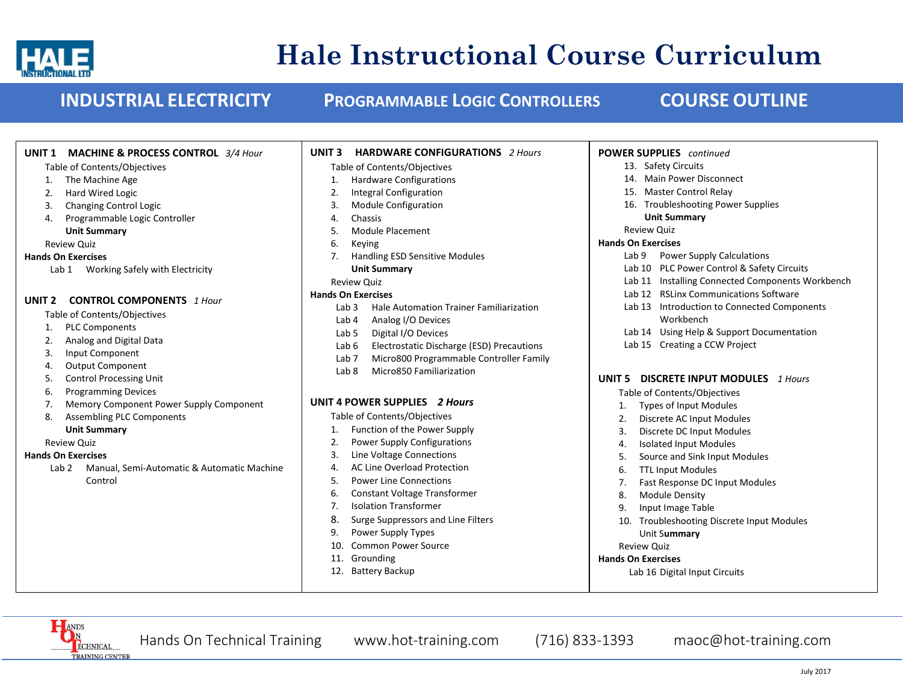

# **Hale Instructional Course Curriculum**

**UNIT 1 MACHINE & PROCESS CONTROL** *3/4 Hour*

Table of Contents/Objectives

### **INDUSTRIAL ELECTRICITY PROGRAMMABLE LOGIC CONTROLLERS COURSE OUTLINE**

**UNIT 3 HARDWARE CONFIGURATIONS** *2 Hours*

Table of Contents/Objectives

**POWER SUPPLIES** *continued* 13. Safety Circuits

| The Machine Age<br>1.                                 | <b>Hardware Configurations</b>                              | 14. Main Power Disconnect                                  |
|-------------------------------------------------------|-------------------------------------------------------------|------------------------------------------------------------|
| Hard Wired Logic<br>2.                                | <b>Integral Configuration</b>                               | 15. Master Control Relay                                   |
| <b>Changing Control Logic</b><br>3.                   | Module Configuration<br>3.                                  | 16. Troubleshooting Power Supplies                         |
| Programmable Logic Controller<br>4.                   | Chassis<br>4.                                               | <b>Unit Summary</b>                                        |
| <b>Unit Summary</b>                                   | Module Placement<br>5.                                      | <b>Review Quiz</b>                                         |
| <b>Review Quiz</b>                                    | 6.<br>Keying                                                | <b>Hands On Exercises</b>                                  |
| <b>Hands On Exercises</b>                             | Handling ESD Sensitive Modules<br>7.                        | Lab <sub>9</sub><br><b>Power Supply Calculations</b>       |
| Lab 1 Working Safely with Electricity                 | <b>Unit Summary</b>                                         | Lab 10 PLC Power Control & Safety Circuits                 |
|                                                       | <b>Review Quiz</b>                                          | Lab 11 Installing Connected Components Workbench           |
|                                                       | <b>Hands On Exercises</b>                                   | Lab 12 RSLinx Communications Software                      |
| <b>CONTROL COMPONENTS</b> 1 Hour<br>UNIT <sub>2</sub> | Lab <sub>3</sub><br>Hale Automation Trainer Familiarization | Lab 13 Introduction to Connected Components                |
| Table of Contents/Objectives                          | Analog I/O Devices<br>Lab 4                                 | Workbench                                                  |
| <b>PLC Components</b><br>1.                           | Digital I/O Devices<br>Lab 5                                | Lab 14 Using Help & Support Documentation                  |
| Analog and Digital Data<br>2.                         | Electrostatic Discharge (ESD) Precautions<br>Lab 6          | Lab 15 Creating a CCW Project                              |
| Input Component<br>3.                                 | Micro800 Programmable Controller Family<br>Lab 7            |                                                            |
| <b>Output Component</b><br>4.                         | Micro850 Familiarization<br>Lab 8                           |                                                            |
| <b>Control Processing Unit</b><br>5.                  |                                                             | <b>DISCRETE INPUT MODULES</b> 1 Hours<br>UNIT <sub>5</sub> |
| <b>Programming Devices</b><br>6.                      | UNIT 4 POWER SUPPLIES 2 Hours                               | Table of Contents/Objectives                               |
| Memory Component Power Supply Component<br>7.         |                                                             | Types of Input Modules                                     |
| <b>Assembling PLC Components</b><br>8.                | Table of Contents/Objectives                                | Discrete AC Input Modules<br>2.                            |
| <b>Unit Summary</b>                                   | Function of the Power Supply<br>1.                          | Discrete DC Input Modules<br>3.                            |
| <b>Review Quiz</b>                                    | <b>Power Supply Configurations</b>                          | <b>Isolated Input Modules</b><br>4.                        |
| <b>Hands On Exercises</b>                             | Line Voltage Connections<br>3.                              | Source and Sink Input Modules<br>5                         |
| Manual, Semi-Automatic & Automatic Machine<br>Lab 2   | <b>AC Line Overload Protection</b><br>4.                    | <b>TTL Input Modules</b><br>6.                             |
| Control                                               | <b>Power Line Connections</b><br>5.                         | Fast Response DC Input Modules                             |
|                                                       | <b>Constant Voltage Transformer</b><br>6.                   | 8<br><b>Module Density</b>                                 |
|                                                       | <b>Isolation Transformer</b>                                | Input Image Table<br>9                                     |
|                                                       | 8.<br>Surge Suppressors and Line Filters                    | Troubleshooting Discrete Input Modules<br>10.              |
|                                                       | Power Supply Types<br>9.                                    | Unit Summary                                               |
|                                                       | <b>Common Power Source</b><br>10.                           | <b>Review Quiz</b>                                         |
|                                                       | 11. Grounding                                               | <b>Hands On Exercises</b>                                  |
|                                                       | 12. Battery Backup                                          | Lab 16 Digital Input Circuits                              |
|                                                       |                                                             |                                                            |